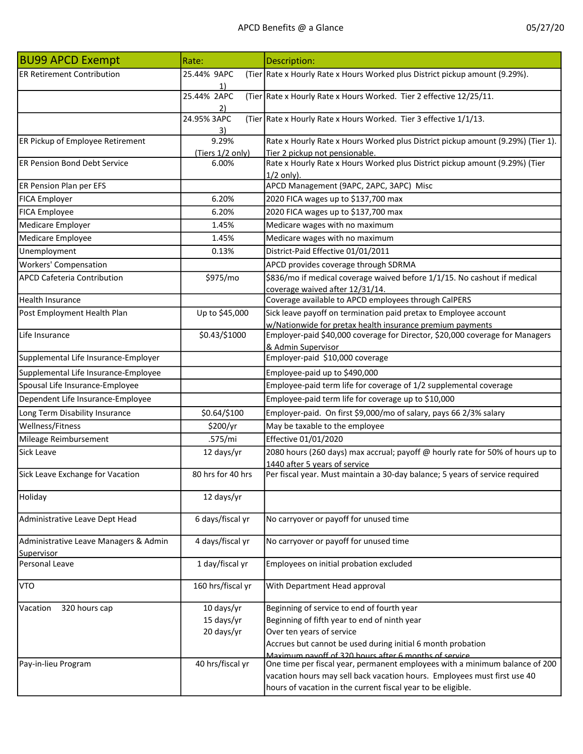| <b>BU99 APCD Exempt</b>                             | Rate:                     | Description:                                                                                                                         |
|-----------------------------------------------------|---------------------------|--------------------------------------------------------------------------------------------------------------------------------------|
| <b>ER Retirement Contribution</b>                   | 25.44% 9APC               | (Tier Rate x Hourly Rate x Hours Worked plus District pickup amount (9.29%).                                                         |
|                                                     | 1)<br>25.44% 2APC<br>2)   | (Tier Rate x Hourly Rate x Hours Worked. Tier 2 effective 12/25/11.                                                                  |
|                                                     | 24.95% 3APC<br>3)         | (Tier Rate x Hourly Rate x Hours Worked. Tier 3 effective 1/1/13.                                                                    |
| ER Pickup of Employee Retirement                    | 9.29%<br>(Tiers 1/2 only) | Rate x Hourly Rate x Hours Worked plus District pickup amount (9.29%) (Tier 1).<br>Tier 2 pickup not pensionable.                    |
| <b>ER Pension Bond Debt Service</b>                 | 6.00%                     | Rate x Hourly Rate x Hours Worked plus District pickup amount (9.29%) (Tier<br>$1/2$ only).                                          |
| ER Pension Plan per EFS                             |                           | APCD Management (9APC, 2APC, 3APC) Misc                                                                                              |
| FICA Employer                                       | 6.20%                     | 2020 FICA wages up to \$137,700 max                                                                                                  |
| FICA Employee                                       | 6.20%                     | 2020 FICA wages up to \$137,700 max                                                                                                  |
| Medicare Employer                                   | 1.45%                     | Medicare wages with no maximum                                                                                                       |
| Medicare Employee                                   | 1.45%                     | Medicare wages with no maximum                                                                                                       |
| Unemployment                                        | 0.13%                     | District-Paid Effective 01/01/2011                                                                                                   |
| <b>Workers' Compensation</b>                        |                           | APCD provides coverage through SDRMA                                                                                                 |
| APCD Cafeteria Contribution                         | \$975/mo                  | \$836/mo if medical coverage waived before 1/1/15. No cashout if medical<br>coverage waived after 12/31/14.                          |
| Health Insurance                                    |                           | Coverage available to APCD employees through CalPERS                                                                                 |
| Post Employment Health Plan                         | Up to \$45,000            | Sick leave payoff on termination paid pretax to Employee account                                                                     |
|                                                     |                           | w/Nationwide for pretax health insurance premium payments                                                                            |
| Life Insurance                                      | \$0.43/\$1000             | Employer-paid \$40,000 coverage for Director, \$20,000 coverage for Managers<br>& Admin Supervisor                                   |
| Supplemental Life Insurance-Employer                |                           | Employer-paid \$10,000 coverage                                                                                                      |
| Supplemental Life Insurance-Employee                |                           | Employee-paid up to \$490,000                                                                                                        |
| Spousal Life Insurance-Employee                     |                           | Employee-paid term life for coverage of 1/2 supplemental coverage                                                                    |
| Dependent Life Insurance-Employee                   |                           | Employee-paid term life for coverage up to \$10,000                                                                                  |
| Long Term Disability Insurance                      | \$0.64/\$100              | Employer-paid. On first \$9,000/mo of salary, pays 66 2/3% salary                                                                    |
| Wellness/Fitness                                    | \$200/yr                  | May be taxable to the employee                                                                                                       |
| Mileage Reimbursement                               | .575/mi                   | Effective 01/01/2020                                                                                                                 |
| Sick Leave                                          | 12 days/yr                | 2080 hours (260 days) max accrual; payoff @ hourly rate for 50% of hours up to                                                       |
|                                                     |                           | 1440 after 5 years of service                                                                                                        |
| Sick Leave Exchange for Vacation                    | 80 hrs for 40 hrs         | Per fiscal year. Must maintain a 30-day balance; 5 years of service required                                                         |
| Holiday                                             | 12 days/yr                |                                                                                                                                      |
| Administrative Leave Dept Head                      | 6 days/fiscal yr          | No carryover or payoff for unused time                                                                                               |
| Administrative Leave Managers & Admin<br>Supervisor | 4 days/fiscal yr          | No carryover or payoff for unused time                                                                                               |
| Personal Leave                                      | 1 day/fiscal yr           | Employees on initial probation excluded                                                                                              |
| VTO                                                 | 160 hrs/fiscal yr         | With Department Head approval                                                                                                        |
| 320 hours cap<br>Vacation                           | 10 days/yr                | Beginning of service to end of fourth year                                                                                           |
|                                                     | 15 days/yr                | Beginning of fifth year to end of ninth year                                                                                         |
|                                                     | 20 days/yr                | Over ten years of service                                                                                                            |
|                                                     |                           | Accrues but cannot be used during initial 6 month probation                                                                          |
| Pay-in-lieu Program                                 | 40 hrs/fiscal yr          | Maximum navoff of 320 hours after 6 months of service<br>One time per fiscal year, permanent employees with a minimum balance of 200 |
|                                                     |                           | vacation hours may sell back vacation hours. Employees must first use 40                                                             |
|                                                     |                           | hours of vacation in the current fiscal year to be eligible.                                                                         |